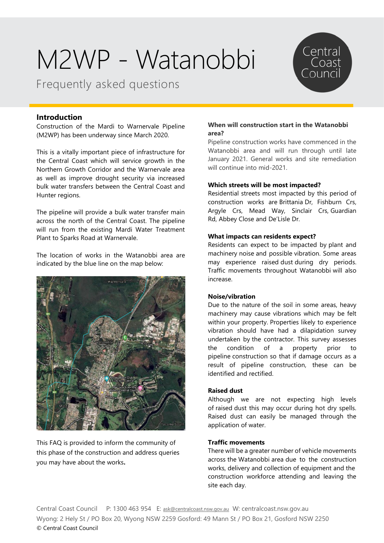Frequently asked questions



# **Introduction**

Construction of the Mardi to Warnervale Pipeline (M2WP) has been underway since March 2020.

This is a vitally important piece of infrastructure for the Central Coast which will service growth in the Northern Growth Corridor and the Warnervale area as well as improve drought security via increased bulk water transfers between the Central Coast and Hunter regions.

The pipeline will provide a bulk water transfer main across the north of the Central Coast. The pipeline will run from the existing Mardi Water Treatment Plant to Sparks Road at Warnervale.

The location of works in the Watanobbi area are indicated by the blue line on the map below:



This FAQ is provided to inform the community of this phase of the construction and address queries you may have about the works**.**

### **When will construction start in the Watanobbi area?**

Pipeline construction works have commenced in the Watanobbi area and will run through until late January 2021. General works and site remediation will continue into mid-2021.

### **Which streets will be most impacted?**

Residential streets most impacted by this period of construction works are Brittania Dr, Fishburn Crs, Argyle Crs, Mead Way, Sinclair Crs, Guardian Rd, Abbey Close and De'Lisle Dr.

# **What impacts can residents expect?**

Residents can expect to be impacted by plant and machinery noise and possible vibration. Some areas may experience raised dust during dry periods. Traffic movements throughout Watanobbi will also increase.

### **Noise/vibration**

Due to the nature of the soil in some areas, heavy machinery may cause vibrations which may be felt within your property. Properties likely to experience vibration should have had a dilapidation survey undertaken by the contractor. This survey assesses the condition of a property prior to pipeline construction so that if damage occurs as a result of pipeline construction, these can be identified and rectified.

### **Raised dust**

Although we are not expecting high levels of raised dust this may occur during hot dry spells. Raised dust can easily be managed through the application of water.

### **Traffic movements**

There will be a greater number of vehicle movements across the Watanobbi area due to the construction works, delivery and collection of equipment and the construction workforce attending and leaving the site each day.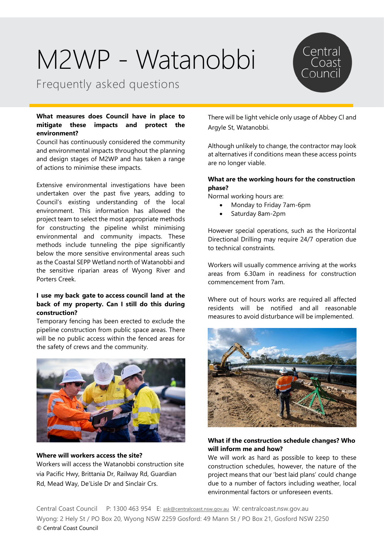Frequently asked questions

# **What measures does Council have in place to mitigate these impacts and protect the environment?**

Council has continuously considered the community and environmental impacts throughout the planning and design stages of M2WP and has taken a range of actions to minimise these impacts.

Extensive environmental investigations have been undertaken over the past five years, adding to Council's existing understanding of the local environment. This information has allowed the project team to select the most appropriate methods for constructing the pipeline whilst minimising environmental and community impacts. These methods include tunneling the pipe significantly below the more sensitive environmental areas such as the Coastal SEPP Wetland north of Watanobbi and the sensitive riparian areas of Wyong River and Porters Creek.

# **I use my back gate to access council land at the back of my property. Can I still do this during construction?**

Temporary fencing has been erected to exclude the pipeline construction from public space areas. There will be no public access within the fenced areas for the safety of crews and the community.



**Where will workers access the site?** Workers will access the Watanobbi construction site via Pacific Hwy, Brittania Dr, Railway Rd, Guardian Rd, Mead Way, De'Lisle Dr and Sinclair Crs.

There will be light vehicle only usage of Abbey Cl and Argyle St, Watanobbi.

Central<br>Coast

Although unlikely to change, the contractor may look at alternatives if conditions mean these access points are no longer viable.

### **What are the working hours for the construction phase?**

Normal working hours are:

- Monday to Friday 7am-6pm
- Saturday 8am-2pm

However special operations, such as the Horizontal Directional Drilling may require 24/7 operation due to technical constraints.

Workers will usually commence arriving at the works areas from 6.30am in readiness for construction commencement from 7am.

Where out of hours works are required all affected residents will be notified and all reasonable measures to avoid disturbance will be implemented. 



# **What if the construction schedule changes? Who will inform me and how?**

We will work as hard as possible to keep to these construction schedules, however, the nature of the project means that our 'best laid plans' could change due to a number of factors including weather, local environmental factors or unforeseen events.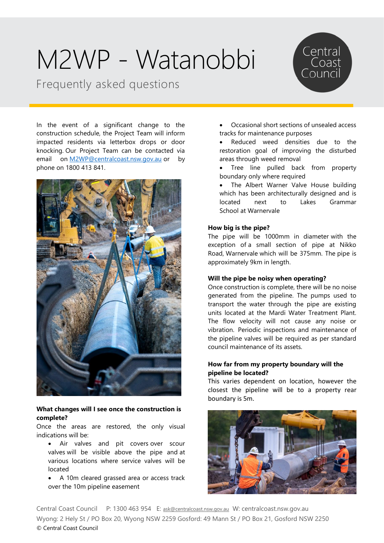Frequently asked questions



In the event of a significant change to the construction schedule, the Project Team will inform impacted residents via letterbox drops or door knocking. Our Project Team can be contacted via email on [M2WP@centralcoast.nsw.gov.au](mailto:M2WP@centralcoast.nsw.gov.au) or by phone on 1800 413 841.



# **What changes will I see once the construction is complete?**

Once the areas are restored, the only visual indications will be:

- Air valves and pit covers over scour valves will be visible above the pipe and at various locations where service valves will be located
- A 10m cleared grassed area or access track over the 10m pipeline easement
- Occasional short sections of unsealed access tracks for maintenance purposes
- Reduced weed densities due to the restoration goal of improving the disturbed areas through weed removal
- Tree line pulled back from property boundary only where required
- The Albert Warner Valve House building which has been architecturally designed and is located next to Lakes Grammar School at Warnervale

# **How big is the pipe?**

The pipe will be 1000mm in diameter with the exception of a small section of pipe at Nikko Road, Warnervale which will be 375mm. The pipe is approximately 9km in length.

### **Will the pipe be noisy when operating?**

Once construction is complete, there will be no noise generated from the pipeline. The pumps used to transport the water through the pipe are existing units located at the Mardi Water Treatment Plant. The flow velocity will not cause any noise or vibration. Periodic inspections and maintenance of the pipeline valves will be required as per standard council maintenance of its assets. 

# **How far from my property boundary will the pipeline be located?**

This varies dependent on location, however the closest the pipeline will be to a property rear boundary is 5m.